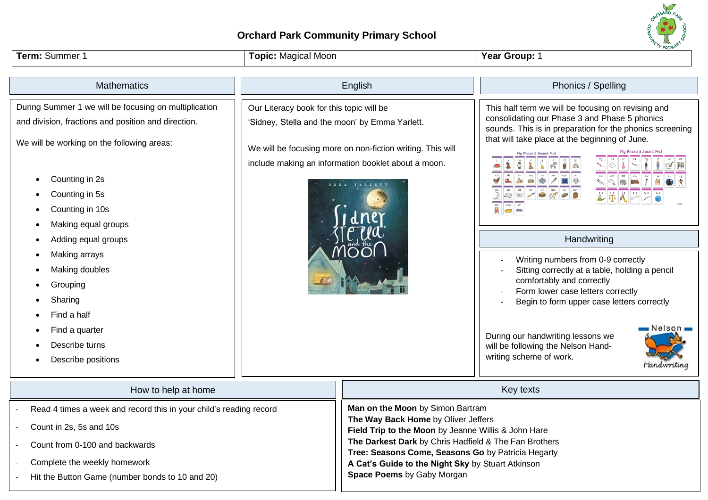## **Orchard Park Community Primary School**



**Field Trip to the Moon** by Jeanne Willis & John Hare **The Darkest Dark** by Chris Hadfield & The Fan Brothers **Tree: Seasons Come, Seasons Go** by Patricia Hegarty

**A Cat's Guide to the Night Sky** by Stuart Atkinson

**Space Poems** by Gaby Morgan

- Count in 2s, 5s and 10s
- Count from 0-100 and backwards
- Complete the weekly homework
- Hit the Button Game (number bonds to 10 and 20)